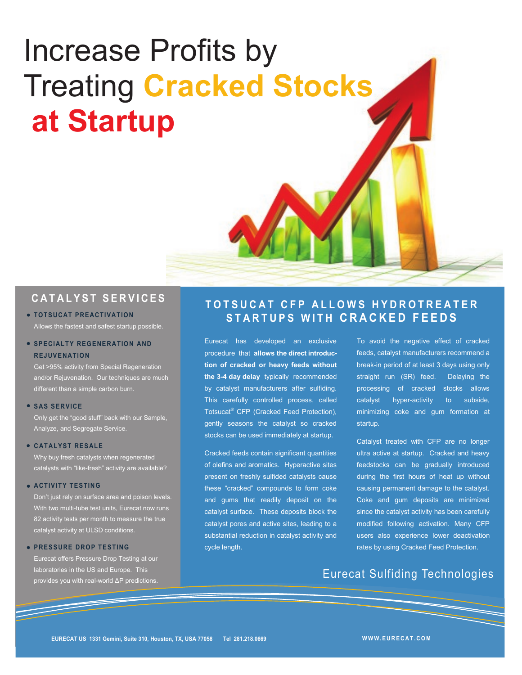# Increase Profits by Treating **Cracked Stocks at Startup**

## **C A T A L Y S T S E R V I C E S**

#### **• TOTSUCAT PREACTIVATION** Allows the fastest and safest startup possible.

#### **• SPECIALTY REGENERATION AND REJUVENATION**

Get >95% activity from Special Regeneration and/or Rejuvenation. Our techniques are much different than a simple carbon burn.

#### **SAS SERVICE**

Only get the "good stuff" back with our Sample, Analyze, and Segregate Service.

#### **CATALYST RESALE**

Why buy fresh catalysts when regenerated catalysts with "like-fresh" activity are available?

#### **ACTIVITY TESTING**

Don't just rely on surface area and poison levels. With two multi-tube test units, Eurecat now runs 82 activity tests per month to measure the true catalyst activity at ULSD conditions.

#### **• PRESSURE DROP TESTING**

Eurecat offers Pressure Drop Testing at our laboratories in the US and Europe. This provides you with real-world ΔP predictions.

## **T O T S U C A T C F P A L L O W S H Y D R O T R E A T E R S T A R T U P S W I T H C R A C K E D F E E D S**

Eurecat has developed an exclusive procedure that **allows the direct introduction of cracked or heavy feeds without the 3-4 day delay** typically recommended by catalyst manufacturers after sulfiding. This carefully controlled process, called Totsucat® CFP (Cracked Feed Protection), gently seasons the catalyst so cracked stocks can be used immediately at startup.

Cracked feeds contain significant quantities of olefins and aromatics. Hyperactive sites present on freshly sulfided catalysts cause these "cracked" compounds to form coke and gums that readily deposit on the catalyst surface. These deposits block the catalyst pores and active sites, leading to a substantial reduction in catalyst activity and cycle length.

To avoid the negative effect of cracked feeds, catalyst manufacturers recommend a break-in period of at least 3 days using only straight run (SR) feed. Delaying the processing of cracked stocks allows catalyst hyper-activity to subside, minimizing coke and gum formation at startup.

Catalyst treated with CFP are no longer ultra active at startup. Cracked and heavy feedstocks can be gradually introduced during the first hours of heat up without causing permanent damage to the catalyst. Coke and gum deposits are minimized since the catalyst activity has been carefully modified following activation. Many CFP users also experience lower deactivation rates by using Cracked Feed Protection.

## Eurecat Sulfiding Technologies